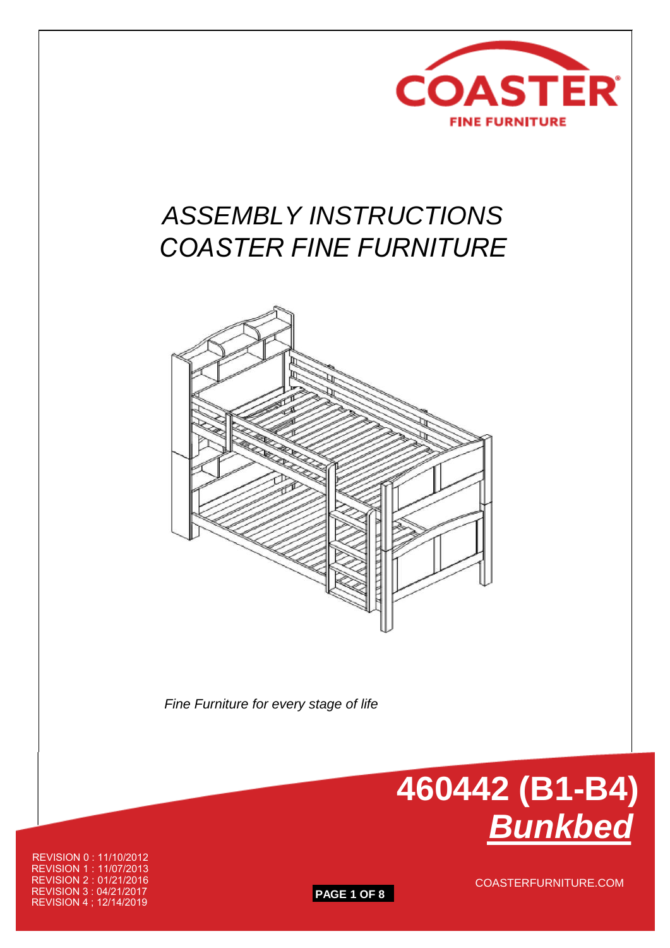

# *ASSEMBLY INSTRUCTIONS COASTER FINE FURNITURE*



 *Fine Furniture for every stage of life*



REVISION 0 : 11/10/2012 REVISION 1 : 11/07/2013 REVISION 2 : 01/21/2016 REVISION 3 : 04/21/2017 REVISION 4 ; 12/14/2019

**PAGE 1 OF 8**

COASTERFURNITURE.COM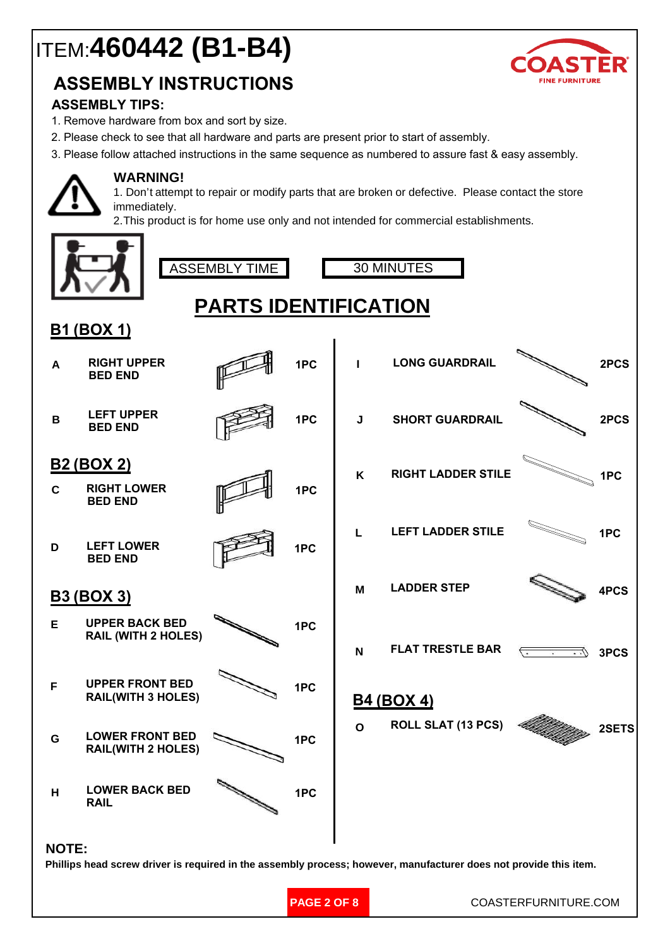# ITEM:**460442 (B1-B4)**



## **ASSEMBLY INSTRUCTIONS**

### **ASSEMBLY TIPS:**

- 1. Remove hardware from box and sort by size.
- 2. Please check to see that all hardware and parts are present prior to start of assembly.
- 3. Please follow attached instructions in the same sequence as numbered to assure fast & easy assembly.



#### **WARNING!**

1. Don't attempt to repair or modify parts that are broken or defective.Please contact the store immediately.

2.This product is for home use only and not intended for commercial establishments.



**PAGE 2 OF 8**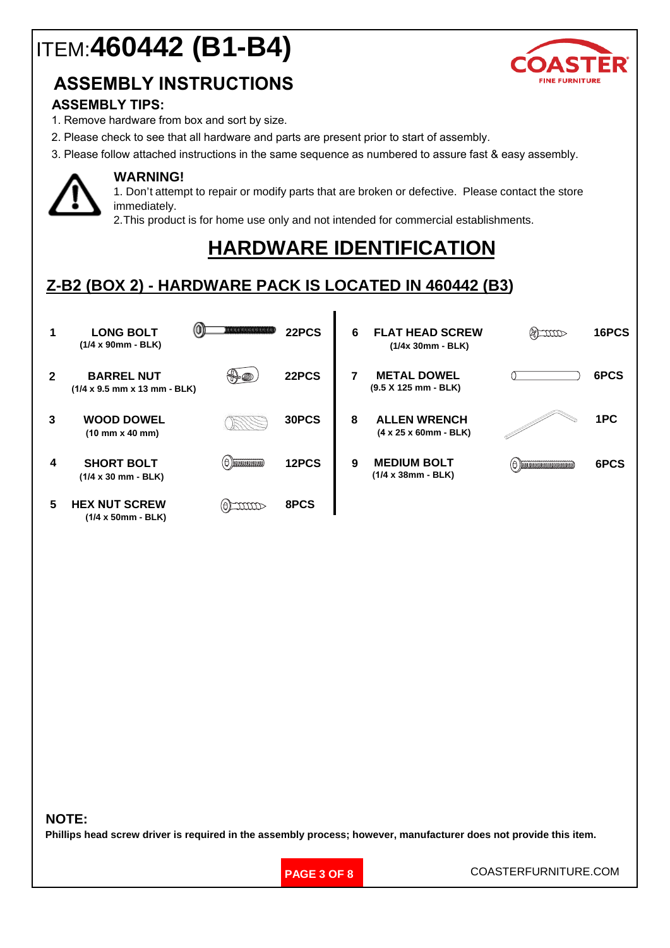# ITEM:**460442 (B1-B4)**





### **ASSEMBLY TIPS:**

- 1. Remove hardware from box and sort by size.
- 2. Please check to see that all hardware and parts are present prior to start of assembly.
- 3. Please follow attached instructions in the same sequence as numbered to assure fast & easy assembly.



#### **WARNING!**

**(1/4 x 38mm - BLK) (1/4 x 50mm - BLK)**

1. Don't attempt to repair or modify parts that are broken or defective.Please contact the store immediately.

2.This product is for home use only and not intended for commercial establishments.

## **HARDWARE IDENTIFICATION**

## **Z-B2 (BOX 2) - HARDWARE PACK IS LOCATED IN 460442 (B3)**

|                | <b>LONG BOLT</b><br>$(1/4 \times 90$ mm - BLK)                                | 1000000000000                          | 22PCS | 6 | <b>FLAT HEAD SCREW</b><br>$(1/4x 30mm - BLK)$             | (a) mm | 16PCS |
|----------------|-------------------------------------------------------------------------------|----------------------------------------|-------|---|-----------------------------------------------------------|--------|-------|
| $\overline{2}$ | <b>BARREL NUT</b><br>$(1/4 \times 9.5 \text{ mm} \times 13 \text{ mm} - BLK)$ |                                        | 22PCS |   | <b>METAL DOWEL</b><br>$(9.5 X 125 mm - BLK)$              |        | 6PCS  |
| 3              | <b>WOOD DOWEL</b><br>$(10$ mm $x$ 40 mm)                                      |                                        | 30PCS | 8 | <b>ALLEN WRENCH</b><br>$(4 \times 25 \times 60$ mm - BLK) |        | 1PC   |
| 4              | <b>SHORT BOLT</b><br>$(1/4 \times 30 \text{ mm} - BLK)$                       | $(\ominus)$ dia adalah dia $(\ominus)$ | 12PCS | 9 | <b>MEDIUM BOLT</b><br>$(1/4 \times 38$ mm - BLK)          |        | 6PCS  |
| 5              | <b>HEX NUT SCREW</b>                                                          |                                        | 8PCS  |   |                                                           |        |       |

#### **NOTE:**

Phillips head screw driver is required in the assembly process; however, manufacturer does not provide this item.

**PAGE 3 OF 8**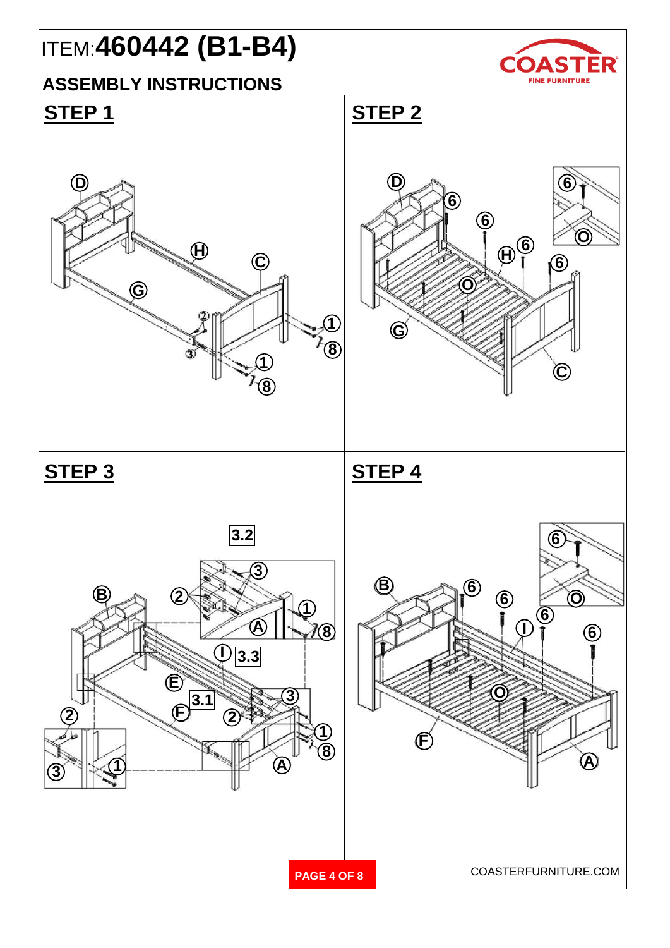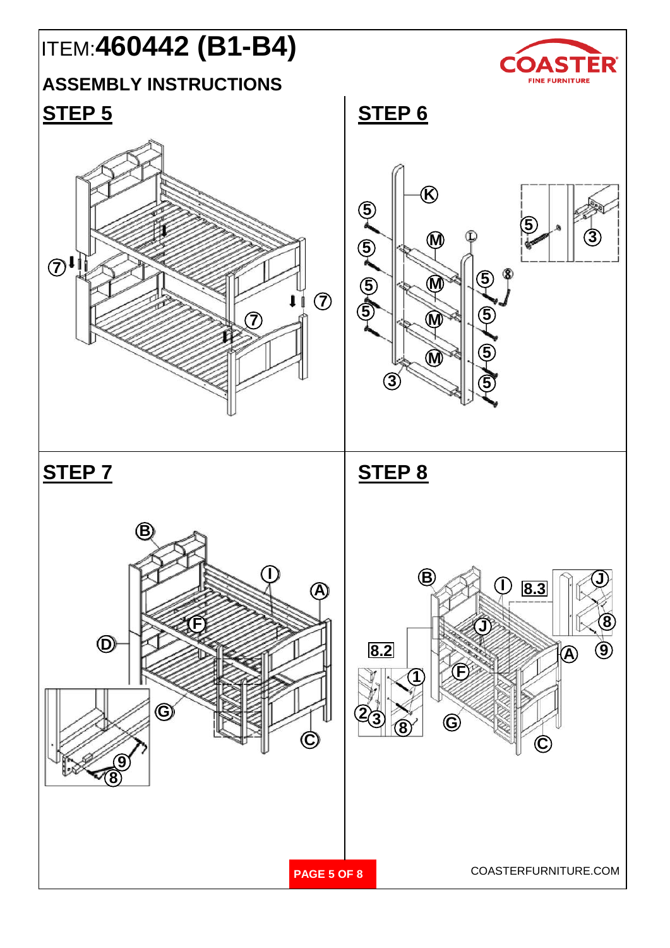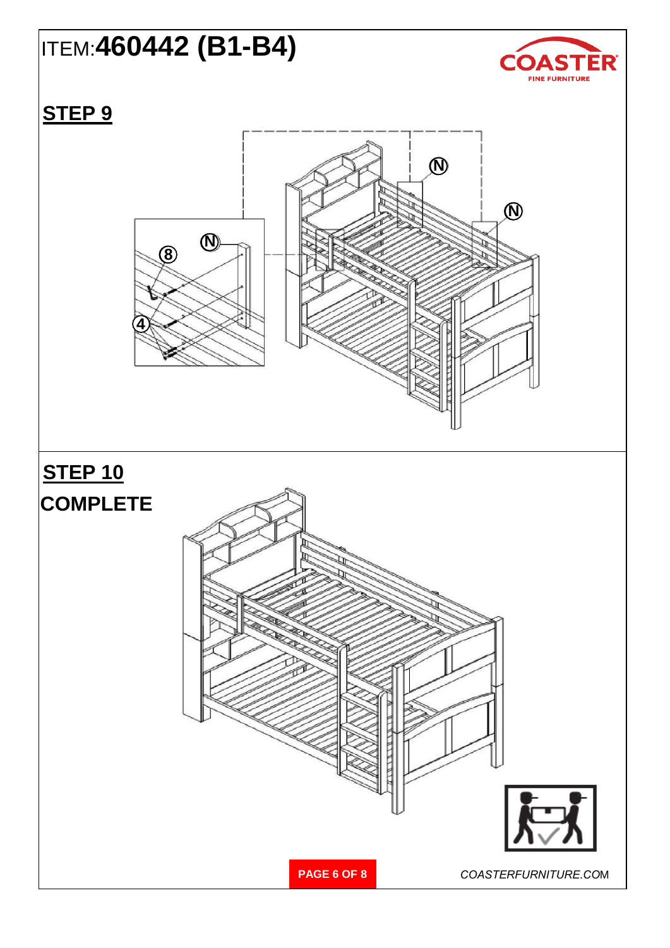# ITEM:**460442 (B1-B4)**



# **STEP 9**

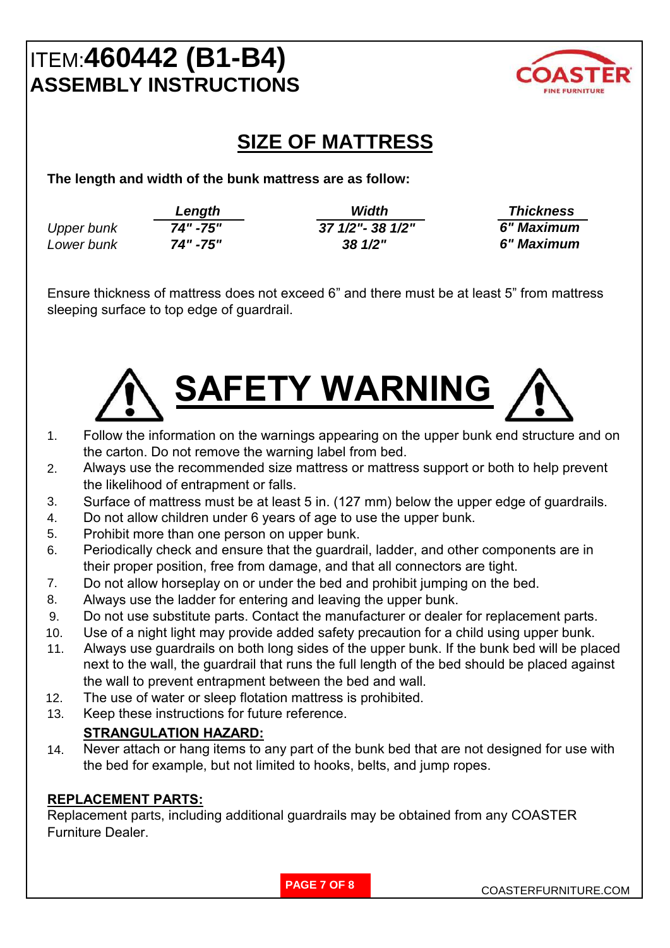# ITEM:**460442 (B1-B4) ASSEMBLY INSTRUCTIONS**



## **SIZE OF MATTRESS**

**The length and width of the bunk mattress are as follow:**

|            | Length   | Width              | <b>Thickness</b> |
|------------|----------|--------------------|------------------|
| Upper bunk | 74" -75" | 37 1/2" - 38 1/2"  | 6" Maximum       |
| Lower bunk | 74" -75" | $38 \frac{1}{2}$ " | 6" Maximum       |

Ensure thickness of mattress does not exceed 6" and there must be at least 5" from mattress sleeping surface to top edge of guardrail.



- 1. Follow the information on the warnings appearing on the upper bunk end structure and on the carton. Do not remove the warning label from bed.
- 2. Always use the recommended size mattress or mattress support or both to help prevent the likelihood of entrapment or falls.
- 3. Surface of mattress must be at least 5 in. (127 mm) below the upper edge of guardrails.
- 4. Do not allow children under 6 years of age to use the upper bunk.
- 5. Prohibit more than one person on upper bunk.
- 6. Periodically check and ensure that the guardrail, ladder, and other components are in their proper position, free from damage, and that all connectors are tight.
- 7. Do not allow horseplay on or under the bed and prohibit jumping on the bed.
- 8. Always use the ladder for entering and leaving the upper bunk.
- 9. Do not use substitute parts. Contact the manufacturer or dealer for replacement parts.
- 10. Use of a night light may provide added safety precaution for a child using upper bunk.
- 11. Always use guardrails on both long sides of the upper bunk. If the bunk bed will be placed next to the wall, the guardrail that runs the full length of the bed should be placed against the wall to prevent entrapment between the bed and wall.
- 12. The use of water or sleep flotation mattress is prohibited.
- 13. Keep these instructions for future reference.

### **STRANGULATION HAZARD:**

14. Never attach or hang items to any part of the bunk bed that are not designed for use with the bed for example, but not limited to hooks, belts, and jump ropes.

### **REPLACEMENT PARTS:**

Replacement parts, including additional guardrails may be obtained from any COASTER Furniture Dealer.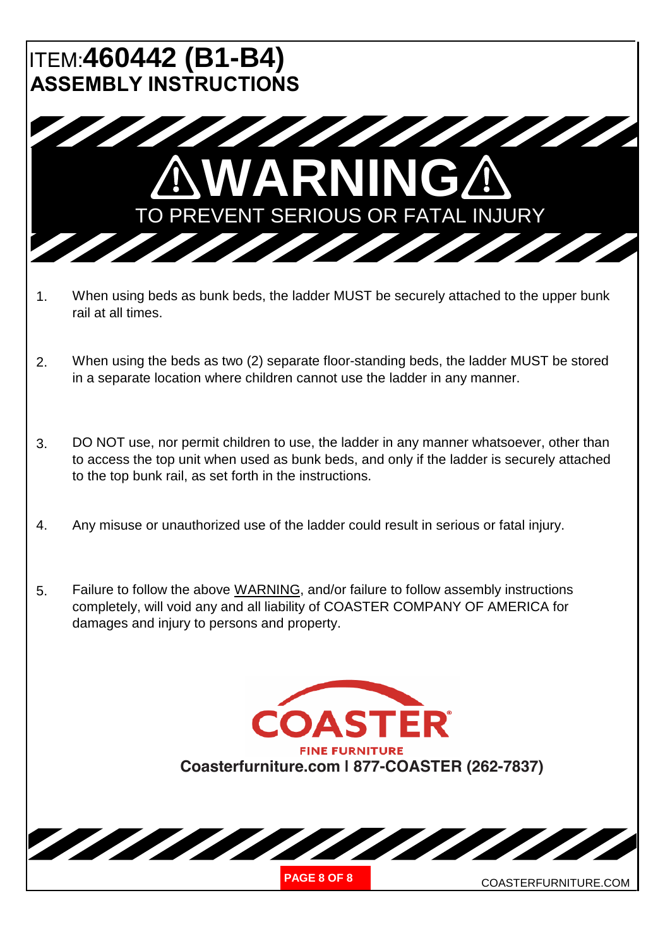# ITEM:**460442 (B1-B4) ASSEMBLY INSTRUCTIONS**



- 1. When using beds as bunk beds, the ladder MUST be securely attached to the upper bunk rail at all times.
- 2. When using the beds as two (2) separate floor-standing beds, the ladder MUST be stored in a separate location where children cannot use the ladder in any manner.
- 3. DO NOT use, nor permit children to use, the ladder in any manner whatsoever, other than to access the top unit when used as bunk beds, and only if the ladder is securely attached to the top bunk rail, as set forth in the instructions.
- 4. Any misuse or unauthorized use of the ladder could result in serious or fatal injury.
- 5. Failure to follow the above WARNING, and/or failure to follow assembly instructions completely, will void any and all liability of COASTER COMPANY OF AMERICA for damages and injury to persons and property.

**ASTER FINE FURNITURE Coasterfurniture.com | 877-COASTER (262-7837)**